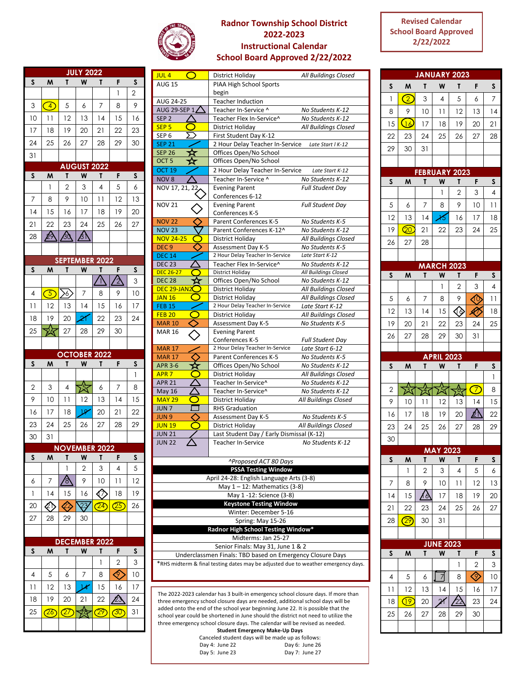

## **Radnor Township School District 2022-2023 Instructional Calendar School Board Approved 2/22/2022**

## **Revised Calendar School Board Approved 2/22/2022**

|                         |                   |                                     | <b>JULY 2022</b>                                                                      |                            |                          |                 |
|-------------------------|-------------------|-------------------------------------|---------------------------------------------------------------------------------------|----------------------------|--------------------------|-----------------|
| S                       | M                 | T                                   | W                                                                                     | Τ                          | F                        | S               |
|                         |                   |                                     |                                                                                       |                            | 1                        | 2               |
| 3                       | $\left( 4\right)$ | 5                                   | 6                                                                                     | 7                          | 8                        | 9               |
| 10                      | $\overline{11}$   | 12                                  | 13                                                                                    | 14                         | 15                       | 16              |
| 17                      | 18                | 19                                  | 20                                                                                    | $\overline{2}$             | 22                       | 23              |
| 24                      | 25                | 26                                  | 27                                                                                    | 28                         | 29                       | 30              |
| 31                      |                   |                                     |                                                                                       |                            |                          |                 |
|                         | M                 | T                                   | <b>AUGUST 2022</b>                                                                    |                            | F                        | S               |
| S                       | 1                 | $\overline{2}$                      | W<br>3                                                                                | T<br>4                     | 5                        | 6               |
| $\overline{7}$          | 8                 | 9                                   | 10                                                                                    | $\overline{11}$            | 12                       | 13              |
| 14                      | 15                | 16                                  | 17                                                                                    | 18                         | 19                       | 20              |
| $\overline{2}$          | 22                | 23                                  | 24                                                                                    | 25                         | 26                       | 27              |
| 28                      | 29                | $\frac{1}{2}$                       | 介                                                                                     |                            |                          |                 |
|                         |                   |                                     |                                                                                       |                            |                          |                 |
|                         |                   | <b>SEPTEMBER 2022</b>               |                                                                                       |                            |                          |                 |
| S                       | M                 | T                                   | $\mathsf{W}% _{T}=\mathsf{W}_{T}\!\left( a,b\right) ,\ \mathsf{W}_{T}=\mathsf{W}_{T}$ | T                          | F                        | S               |
|                         |                   |                                     |                                                                                       |                            |                          | 3               |
| $\overline{4}$          | $\circledS$       | $\left\langle \delta \right\rangle$ | 7                                                                                     | 8                          | 9                        | 10              |
| 11                      | 12                | 13                                  | 4                                                                                     | 15                         | 16                       | 17              |
| 18                      | 19                | 20                                  | 21                                                                                    | 22                         | 23                       | 24              |
| 25                      |                   | 27                                  | 28                                                                                    | 29                         | 30                       |                 |
|                         |                   |                                     |                                                                                       |                            |                          |                 |
|                         |                   |                                     |                                                                                       |                            |                          |                 |
|                         |                   | <b>OCTOBER 2022</b>                 |                                                                                       |                            |                          |                 |
| $\overline{\mathsf{s}}$ | M                 | T                                   | W                                                                                     | Τ                          | F                        | S<br>1          |
| $\overline{c}$          | 3                 | 4                                   |                                                                                       | 6                          | 7                        | 8               |
| 9                       | 10                | $\overline{1}$                      | 贪<br>12                                                                               | 13                         | 4                        | 15              |
| 16                      | 17                | 18                                  | $\overline{\mathcal{P}}$                                                              | 20                         | $\overline{2}$           | $\overline{22}$ |
| 23                      | 24                | 25                                  | 26                                                                                    | 27                         | 28                       | 29              |
| 30                      | 31                |                                     |                                                                                       |                            |                          |                 |
|                         |                   | <b>NOVEMBER 2022</b>                |                                                                                       |                            |                          |                 |
| S                       | M                 | Τ                                   | W                                                                                     | Τ                          | F                        | S               |
|                         |                   | 1                                   | $\overline{2}$                                                                        | 3                          | 4                        | 5               |
| 6                       | 7                 | ვ<br>8                              | 9                                                                                     | 10                         | $\overline{11}$          | 12              |
| 1                       | 14                | 15                                  | 16                                                                                    | ∢∂                         | 18                       | 19              |
| 20                      | ED                | 22,                                 | 23                                                                                    | $\overline{\mathcal{C}^4}$ | (25)                     | 26              |
| 27                      | 28                | 29                                  | 30                                                                                    |                            |                          |                 |
|                         |                   |                                     |                                                                                       |                            |                          |                 |
| S                       | M                 | <b>DECEN</b><br>T                   | <b>ABER</b><br>W                                                                      | 2022<br>T                  | F                        | S               |
|                         |                   |                                     |                                                                                       | 1                          | $\overline{c}$           | 3               |
| 4                       | 5                 | 6                                   | 7                                                                                     | 8                          | Q.                       | 10              |
| 11                      | 12                | 13                                  | 14                                                                                    | 15                         | 16                       | 17              |
| 18                      | 19                | 20                                  | 21                                                                                    | 22                         |                          | 24              |
| 25                      | $\mathcal{C\!}$   | $\widehat{\mathcal{Q}}$ 7           | $\frac{\Lambda}{28}$                                                                  | $\overline{29}$            | $\overline{\mathcal{C}}$ | 31              |

| $\bigcirc$<br>JUL 4                                                                                                                            | District Holiday                                                                  | All Buildings Closed                     |  |  |  |
|------------------------------------------------------------------------------------------------------------------------------------------------|-----------------------------------------------------------------------------------|------------------------------------------|--|--|--|
| <b>AUG 15</b>                                                                                                                                  | PIAA High School Sports                                                           |                                          |  |  |  |
|                                                                                                                                                | begin                                                                             |                                          |  |  |  |
| AUG 24-25                                                                                                                                      | <b>Teacher Induction</b>                                                          |                                          |  |  |  |
| AUG 29-SEP 1 $\bigtriangleup$                                                                                                                  | Teacher In-Service ^                                                              | No Students K-12                         |  |  |  |
| SEP <sub>2</sub>                                                                                                                               | Teacher Flex In-Service^                                                          | No Students K-12                         |  |  |  |
| <b>SEP 5</b>                                                                                                                                   | District Holiday                                                                  | All Buildings Closed                     |  |  |  |
| SEP 6                                                                                                                                          | First Student Day K-12                                                            |                                          |  |  |  |
| <b>SEP 21</b>                                                                                                                                  | 2 Hour Delay Teacher In-Service                                                   | Late Start   K-12                        |  |  |  |
| <b>SEP 26</b>                                                                                                                                  | Offices Open/No School                                                            |                                          |  |  |  |
| OCT <sub>5</sub><br>な                                                                                                                          | Offices Open/No School                                                            |                                          |  |  |  |
| <b>OCT 19</b>                                                                                                                                  | 2 Hour Delay Teacher In-Service                                                   | Late Start K-12                          |  |  |  |
| NOV 8                                                                                                                                          | Teacher In-Service ^                                                              | No Students K-12                         |  |  |  |
| NOV 17, 21, 22                                                                                                                                 | <b>Evening Parent</b>                                                             | <b>Full Student Day</b>                  |  |  |  |
|                                                                                                                                                | Conferences 6-12                                                                  |                                          |  |  |  |
| NOV 21                                                                                                                                         | <b>Evening Parent</b>                                                             | <b>Full Student Day</b>                  |  |  |  |
|                                                                                                                                                | Conferences K-5                                                                   |                                          |  |  |  |
| <b>NOV 22</b>                                                                                                                                  | Parent Conferences K-5                                                            | No Students K-5                          |  |  |  |
| <b>NOV 23</b>                                                                                                                                  | Parent Conferences K-12^                                                          | No Students K-12                         |  |  |  |
| <b>NOV 24-25</b>                                                                                                                               | District Holiday                                                                  | All Buildings Closed                     |  |  |  |
| DEC <sub>9</sub>                                                                                                                               | Assessment Day K-5                                                                | No Students K-5                          |  |  |  |
| <b>DEC 14</b>                                                                                                                                  | 2 Hour Delay Teacher In-Service                                                   | Late Start K-12                          |  |  |  |
| <b>DEC 23</b>                                                                                                                                  | Teacher Flex In-Service^                                                          | No Students K-12                         |  |  |  |
| <b>DEC 26-27</b>                                                                                                                               | District Holiday                                                                  | All Buildings Closed                     |  |  |  |
| <b>DEC 28</b><br>™                                                                                                                             | Offices Open/No School                                                            | No Students K-12                         |  |  |  |
| DEC 29-JAN $2$                                                                                                                                 | District Holiday                                                                  | All Buildings Closed                     |  |  |  |
| C<br><b>JAN 16</b>                                                                                                                             | District Holiday                                                                  | All Buildings Closed                     |  |  |  |
| FEB 15                                                                                                                                         | 2 Hour Delay Teacher In-Service                                                   | Late Start K-12                          |  |  |  |
| <b>FEB 20</b><br>$\bigcirc$                                                                                                                    | District Holiday                                                                  | All Buildings Closed                     |  |  |  |
| <b>MAR 10</b>                                                                                                                                  | Assessment Day K-5                                                                | No Students K-5                          |  |  |  |
| MAR 16                                                                                                                                         | <b>Evening Parent</b>                                                             |                                          |  |  |  |
|                                                                                                                                                | Conferences K-5                                                                   | Full Student Day                         |  |  |  |
| <b>MAR 17</b>                                                                                                                                  | 2 Hour Delay Teacher In-Service                                                   | Late Start 6-12                          |  |  |  |
| <b>MAR 17</b>                                                                                                                                  | Parent Conferences K-5                                                            | No Students K-5                          |  |  |  |
| APR 3-6                                                                                                                                        | Offices Open/No School                                                            | No Students K-12                         |  |  |  |
| $\subset$<br>APR <sub>7</sub>                                                                                                                  | District Holiday                                                                  | All Buildings Closed                     |  |  |  |
| <b>APR 21</b>                                                                                                                                  | Teacher In-Service^                                                               | No Students K-12                         |  |  |  |
| May 16<br><b>MAY 29</b>                                                                                                                        | Teacher In-Service^                                                               | No Students K-12<br>All Buildings Closed |  |  |  |
| JUN <sub>7</sub>                                                                                                                               | District Holiday<br><b>RHS Graduation</b>                                         |                                          |  |  |  |
| JUN 9                                                                                                                                          | Assessment Day K-5                                                                | No Students K-5                          |  |  |  |
| <b>JUN 19</b>                                                                                                                                  | District Holiday                                                                  | All Buildings Closed                     |  |  |  |
| JUN 21                                                                                                                                         | Last Student Day / Early Dismissal (K-12)                                         |                                          |  |  |  |
| <b>JUN 22</b>                                                                                                                                  | Teacher In-Service                                                                | No Students K-12                         |  |  |  |
|                                                                                                                                                |                                                                                   |                                          |  |  |  |
|                                                                                                                                                |                                                                                   |                                          |  |  |  |
|                                                                                                                                                | ^Proposed ACT 80 Days                                                             |                                          |  |  |  |
| <b>PSSA Testing Window</b>                                                                                                                     |                                                                                   |                                          |  |  |  |
| April 24-28: English Language Arts (3-8)                                                                                                       |                                                                                   |                                          |  |  |  |
|                                                                                                                                                | May $1 - 12$ : Mathematics (3-8)                                                  |                                          |  |  |  |
| May 1-12: Science (3-8)                                                                                                                        |                                                                                   |                                          |  |  |  |
| <b>Keystone Testing Window</b>                                                                                                                 |                                                                                   |                                          |  |  |  |
| Winter: December 5-16<br>Spring: May 15-26                                                                                                     |                                                                                   |                                          |  |  |  |
|                                                                                                                                                | Radnor High School Testing Window*                                                |                                          |  |  |  |
|                                                                                                                                                | Midterms: Jan 25-27                                                               |                                          |  |  |  |
|                                                                                                                                                |                                                                                   |                                          |  |  |  |
| Senior Finals: May 31, June 1 & 2                                                                                                              |                                                                                   |                                          |  |  |  |
| Underclassmen Finals: TBD based on Emergency Closure Days<br>*RHS midterm & final testing dates may be adjusted due to weather emergency days. |                                                                                   |                                          |  |  |  |
|                                                                                                                                                |                                                                                   |                                          |  |  |  |
|                                                                                                                                                |                                                                                   |                                          |  |  |  |
|                                                                                                                                                |                                                                                   |                                          |  |  |  |
|                                                                                                                                                | The 2022-2023 calendar has 3 built-in emergency school closure days. If more than |                                          |  |  |  |
|                                                                                                                                                | three emergency school closure days are needed, additional school days will be    |                                          |  |  |  |
|                                                                                                                                                | added onto the end of the school year beginning June 22. It is possible that the  |                                          |  |  |  |

school year could be shortened in June should the district not need to utilize the three emergency school closure days. The calendar will be revised as needed.

| <b>Student Emergency Make-Up Days</b>             |  |  |
|---------------------------------------------------|--|--|
| Canceled student days will be made up as follows: |  |  |
| Day 6: June 26                                    |  |  |
| Day 7: June 27                                    |  |  |
|                                                   |  |  |

|                 |                                         |                |                   | <b>JANUARY 2023</b>       |                   |                 |
|-----------------|-----------------------------------------|----------------|-------------------|---------------------------|-------------------|-----------------|
| S               | M                                       | T              | W                 | T                         | F                 | S               |
| 1               | $\overline{\mathcal{C}}$                | 3              | 4                 | 5                         | 6                 | 7               |
| 8               | 9                                       | 10             | 11                | 12                        | 13                | 4               |
|                 | $\overline{\mathbb{Q}}$                 |                |                   |                           |                   |                 |
| 15              |                                         | 17             | 18                | 19                        | 20                | $\overline{2}$  |
| 22              | 23                                      | 24             | 25                | 26                        | 27                | 28              |
| 29              | 30                                      | 31             |                   |                           |                   |                 |
|                 |                                         |                |                   |                           |                   |                 |
| S               | M                                       | T              | W                 | <b>FEBRUARY 2023</b><br>Τ | F                 | S               |
|                 |                                         |                | 1                 | 2                         | 3                 | 4               |
| 5               | 6                                       | 7              | 8                 | 9                         | 10                | 11              |
| 12              | 13                                      | 14             | 15                | 16                        | 17                | 18              |
| 19              | $\boxed{\textcircled{\scriptsize{20}}}$ | 21             | 22                | 23                        | 24                | 25              |
|                 | 27                                      | 28             |                   |                           |                   |                 |
| 26              |                                         |                |                   |                           |                   |                 |
|                 |                                         |                | <b>MARCH 2023</b> |                           |                   |                 |
| S               | M                                       | T              | W                 | T                         | F                 | S               |
|                 |                                         |                | 1                 | 2                         | 3                 | 4               |
| 5               | 6                                       | 7              | 8                 | 9                         | $\bigwedge$       | $\overline{11}$ |
| 12              | 13                                      | 4              | 15                | ♦                         | Æ,                | 18              |
| 19              | 20                                      | 21             | 22                | 23                        | 24                | 25              |
| 26              | 27                                      | 28             | 29                | 30                        | 31                |                 |
|                 |                                         |                |                   |                           |                   |                 |
|                 |                                         |                |                   |                           |                   |                 |
|                 |                                         |                | <b>APRIL 2023</b> |                           |                   |                 |
| S               | M                                       | T              | W                 | T                         | F                 | S               |
|                 |                                         |                |                   |                           |                   | 1               |
| $\overline{2}$  | й٢                                      |                | 51                |                           | $\left( 7\right)$ | 8               |
| 9               | 10                                      | $\overline{1}$ | 12                | 13                        | $\frac{1}{4}$     | 15              |
| 16              | 17                                      | 18             | 19                | 20                        | ⚠                 | 22              |
| 23              | 24                                      | 25             | 26                | 27                        | 28                | 29              |
| 30              |                                         |                |                   |                           |                   |                 |
|                 |                                         |                | <b>MAY 2023</b>   |                           |                   |                 |
| S               | M                                       | T              | W                 | Τ                         | F                 | S               |
|                 | 1                                       | $\overline{c}$ | 3                 | 4                         | 5                 | 6               |
| 7               | 8                                       | 9              | 10                | 11                        | 12                | 13              |
| 4               | 15                                      | ()             | 17                | 18                        | 19                | 20              |
| 21              | 22                                      | 23             | 24                | 25                        | 26                | 27              |
| 28              | $\left( 2\right)$                       | 30             | 31                |                           |                   |                 |
|                 |                                         |                |                   |                           |                   |                 |
|                 |                                         |                | <b>JUNE 2023</b>  |                           |                   |                 |
| S               | M                                       | T              | W                 | T                         | F                 | S               |
|                 |                                         |                |                   | 1                         | $\overline{c}$    | 3               |
| 4               | 5                                       | 6              | 7                 | 8                         | $\Diamond$        | 10              |
| $\overline{11}$ | 12                                      | 13             | 4                 | 15                        | 16                | 17              |
| 18              | $\overline{\mathbb{Q}}$                 | 20             | 21                |                           | 23                | 24              |
| 25              | 26                                      | 27             | 28                | 29                        | 30                |                 |